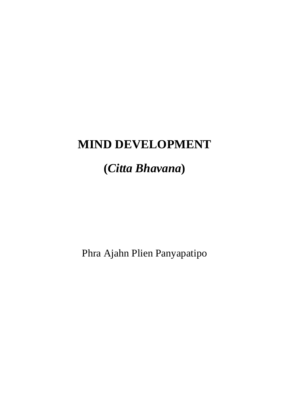# **MIND DEVELOPMENT**

# **(***Citta Bhavana***)**

Phra Ajahn Plien Panyapatipo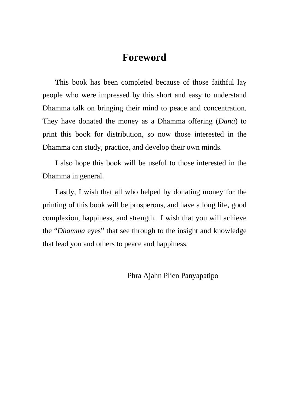## **Foreword**

This book has been completed because of those faithful lay people who were impressed by this short and easy to understand Dhamma talk on bringing their mind to peace and concentration. They have donated the money as a Dhamma offering (*Dana*) to print this book for distribution, so now those interested in the Dhamma can study, practice, and develop their own minds.

I also hope this book will be useful to those interested in the Dhamma in general.

Lastly, I wish that all who helped by donating money for the printing of this book will be prosperous, and have a long life, good complexion, happiness, and strength. I wish that you will achieve the "*Dhamma* eyes" that see through to the insight and knowledge that lead you and others to peace and happiness.

Phra Ajahn Plien Panyapatipo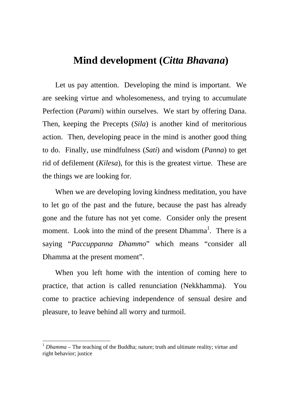## **Mind development (***Citta Bhavana***)**

Let us pay attention. Developing the mind is important. We are seeking virtue and wholesomeness, and trying to accumulate Perfection (*Parami*) within ourselves. We start by offering Dana. Then, keeping the Precepts (*Sila*) is another kind of meritorious action. Then, developing peace in the mind is another good thing to do. Finally, use mindfulness (*Sati*) and wisdom (*Panna*) to get rid of defilement (*Kilesa*), for this is the greatest virtue. These are the things we are looking for.

When we are developing loving kindness meditation, you have to let go of the past and the future, because the past has already gone and the future has not yet come. Consider only the present moment. Look into the mind of the present  $Dhamma<sup>1</sup>$ . There is a saying "*Paccuppanna Dhammo*" which means "consider all Dhamma at the present moment".

When you left home with the intention of coming here to practice, that action is called renunciation (Nekkhamma). You come to practice achieving independence of sensual desire and pleasure, to leave behind all worry and turmoil.

<sup>&</sup>lt;sup>1</sup> *Dhamma* – The teaching of the Buddha; nature; truth and ultimate reality; virtue and right behavior; justice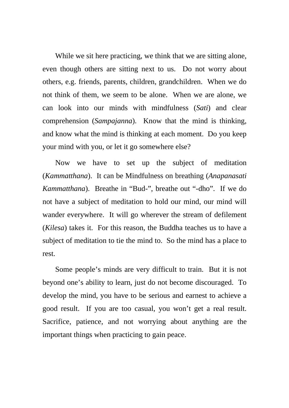While we sit here practicing, we think that we are sitting alone, even though others are sitting next to us. Do not worry about others, e.g. friends, parents, children, grandchildren. When we do not think of them, we seem to be alone. When we are alone, we can look into our minds with mindfulness (*Sati*) and clear comprehension (*Sampajanna*). Know that the mind is thinking, and know what the mind is thinking at each moment. Do you keep your mind with you, or let it go somewhere else?

Now we have to set up the subject of meditation (*Kammatthana*). It can be Mindfulness on breathing (*Anapanasati Kammatthana*). Breathe in "Bud-", breathe out "-dho". If we do not have a subject of meditation to hold our mind, our mind will wander everywhere. It will go wherever the stream of defilement (*Kilesa*) takes it. For this reason, the Buddha teaches us to have a subject of meditation to tie the mind to. So the mind has a place to rest.

Some people's minds are very difficult to train. But it is not beyond one's ability to learn, just do not become discouraged. To develop the mind, you have to be serious and earnest to achieve a good result. If you are too casual, you won't get a real result. Sacrifice, patience, and not worrying about anything are the important things when practicing to gain peace.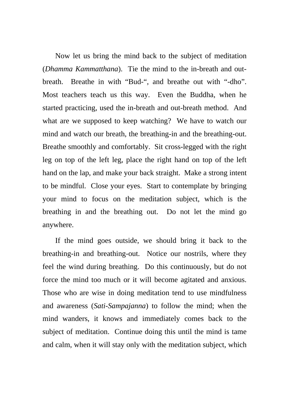Now let us bring the mind back to the subject of meditation (*Dhamma Kammatthana*). Tie the mind to the in-breath and outbreath. Breathe in with "Bud-", and breathe out with "-dho". Most teachers teach us this way. Even the Buddha, when he started practicing, used the in-breath and out-breath method. And what are we supposed to keep watching? We have to watch our mind and watch our breath, the breathing-in and the breathing-out. Breathe smoothly and comfortably. Sit cross-legged with the right leg on top of the left leg, place the right hand on top of the left hand on the lap, and make your back straight. Make a strong intent to be mindful. Close your eyes. Start to contemplate by bringing your mind to focus on the meditation subject, which is the breathing in and the breathing out. Do not let the mind go anywhere.

If the mind goes outside, we should bring it back to the breathing-in and breathing-out. Notice our nostrils, where they feel the wind during breathing. Do this continuously, but do not force the mind too much or it will become agitated and anxious. Those who are wise in doing meditation tend to use mindfulness and awareness (*Sati*-*Sampajanna*) to follow the mind; when the mind wanders, it knows and immediately comes back to the subject of meditation. Continue doing this until the mind is tame and calm, when it will stay only with the meditation subject, which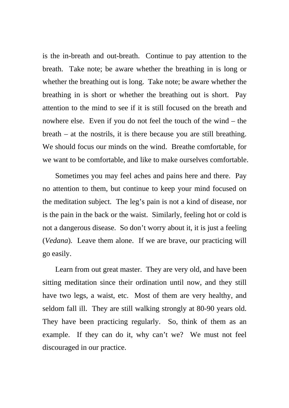is the in-breath and out-breath. Continue to pay attention to the breath. Take note; be aware whether the breathing in is long or whether the breathing out is long. Take note; be aware whether the breathing in is short or whether the breathing out is short. Pay attention to the mind to see if it is still focused on the breath and nowhere else. Even if you do not feel the touch of the wind – the breath – at the nostrils, it is there because you are still breathing. We should focus our minds on the wind. Breathe comfortable, for we want to be comfortable, and like to make ourselves comfortable.

Sometimes you may feel aches and pains here and there. Pay no attention to them, but continue to keep your mind focused on the meditation subject. The leg's pain is not a kind of disease, nor is the pain in the back or the waist. Similarly, feeling hot or cold is not a dangerous disease. So don't worry about it, it is just a feeling (*Vedana*). Leave them alone. If we are brave, our practicing will go easily.

Learn from out great master. They are very old, and have been sitting meditation since their ordination until now, and they still have two legs, a waist, etc. Most of them are very healthy, and seldom fall ill. They are still walking strongly at 80-90 years old. They have been practicing regularly. So, think of them as an example. If they can do it, why can't we? We must not feel discouraged in our practice.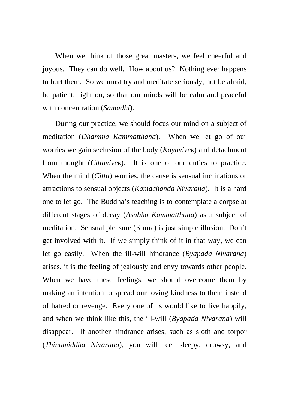When we think of those great masters, we feel cheerful and joyous. They can do well. How about us? Nothing ever happens to hurt them. So we must try and meditate seriously, not be afraid, be patient, fight on, so that our minds will be calm and peaceful with concentration (*Samadhi*).

During our practice, we should focus our mind on a subject of meditation (*Dhamma Kammatthana*). When we let go of our worries we gain seclusion of the body (*Kayavivek*) and detachment from thought (*Cittavivek*). It is one of our duties to practice. When the mind (*Citta*) worries, the cause is sensual inclinations or attractions to sensual objects (*Kamachanda Nivarana*). It is a hard one to let go. The Buddha's teaching is to contemplate a corpse at different stages of decay (*Asubha Kammatthana*) as a subject of meditation. Sensual pleasure (Kama) is just simple illusion. Don't get involved with it. If we simply think of it in that way, we can let go easily. When the ill-will hindrance (*Byapada Nivarana*) arises, it is the feeling of jealously and envy towards other people. When we have these feelings, we should overcome them by making an intention to spread our loving kindness to them instead of hatred or revenge. Every one of us would like to live happily, and when we think like this, the ill-will (*Byapada Nivarana*) will disappear. If another hindrance arises, such as sloth and torpor (*Thinamiddha Nivarana*), you will feel sleepy, drowsy, and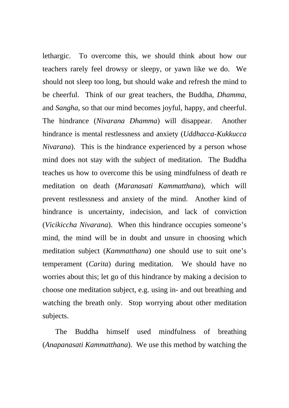lethargic. To overcome this, we should think about how our teachers rarely feel drowsy or sleepy, or yawn like we do. We should not sleep too long, but should wake and refresh the mind to be cheerful. Think of our great teachers, the Buddha, *Dhamma*, and *Sangha*, so that our mind becomes joyful, happy, and cheerful. The hindrance (*Nivarana Dhamma*) will disappear. Another hindrance is mental restlessness and anxiety (*Uddhacca*-*Kukkucca Nivarana*). This is the hindrance experienced by a person whose mind does not stay with the subject of meditation. The Buddha teaches us how to overcome this be using mindfulness of death re meditation on death (*Maranasati Kammatthana*), which will prevent restlessness and anxiety of the mind. Another kind of hindrance is uncertainty, indecision, and lack of conviction (*Vicikiccha Nivarana*). When this hindrance occupies someone's mind, the mind will be in doubt and unsure in choosing which meditation subject (*Kammatthana*) one should use to suit one's temperament (*Carita*) during meditation. We should have no worries about this; let go of this hindrance by making a decision to choose one meditation subject, e.g. using in- and out breathing and watching the breath only. Stop worrying about other meditation subjects.

The Buddha himself used mindfulness of breathing (*Anapanasati Kammatthana*). We use this method by watching the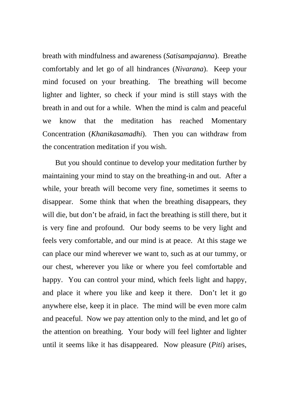breath with mindfulness and awareness (*Satisampajanna*). Breathe comfortably and let go of all hindrances (*Nivarana*). Keep your mind focused on your breathing. The breathing will become lighter and lighter, so check if your mind is still stays with the breath in and out for a while. When the mind is calm and peaceful we know that the meditation has reached Momentary Concentration (*Khanikasamadhi*). Then you can withdraw from the concentration meditation if you wish.

But you should continue to develop your meditation further by maintaining your mind to stay on the breathing-in and out. After a while, your breath will become very fine, sometimes it seems to disappear. Some think that when the breathing disappears, they will die, but don't be afraid, in fact the breathing is still there, but it is very fine and profound. Our body seems to be very light and feels very comfortable, and our mind is at peace. At this stage we can place our mind wherever we want to, such as at our tummy, or our chest, wherever you like or where you feel comfortable and happy. You can control your mind, which feels light and happy, and place it where you like and keep it there. Don't let it go anywhere else, keep it in place. The mind will be even more calm and peaceful. Now we pay attention only to the mind, and let go of the attention on breathing. Your body will feel lighter and lighter until it seems like it has disappeared. Now pleasure (*Piti*) arises,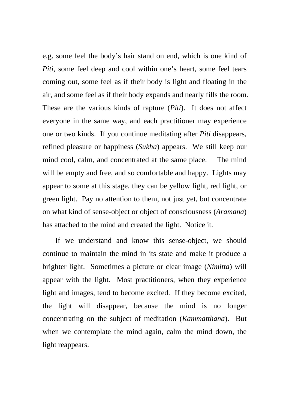e.g. some feel the body's hair stand on end, which is one kind of *Piti*, some feel deep and cool within one's heart, some feel tears coming out, some feel as if their body is light and floating in the air, and some feel as if their body expands and nearly fills the room. These are the various kinds of rapture (*Piti*). It does not affect everyone in the same way, and each practitioner may experience one or two kinds. If you continue meditating after *Piti* disappears, refined pleasure or happiness (*Sukha*) appears. We still keep our mind cool, calm, and concentrated at the same place. The mind will be empty and free, and so comfortable and happy. Lights may appear to some at this stage, they can be yellow light, red light, or green light. Pay no attention to them, not just yet, but concentrate on what kind of sense-object or object of consciousness (*Aramana*) has attached to the mind and created the light. Notice it.

If we understand and know this sense-object, we should continue to maintain the mind in its state and make it produce a brighter light. Sometimes a picture or clear image (*Nimitta*) will appear with the light. Most practitioners, when they experience light and images, tend to become excited. If they become excited, the light will disappear, because the mind is no longer concentrating on the subject of meditation (*Kammatthana*). But when we contemplate the mind again, calm the mind down, the light reappears.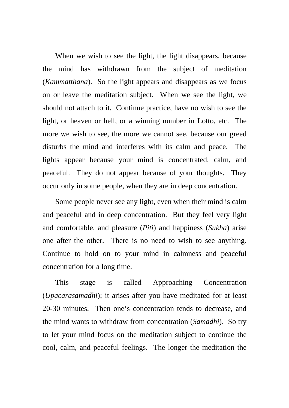When we wish to see the light, the light disappears, because the mind has withdrawn from the subject of meditation (*Kammatthana*). So the light appears and disappears as we focus on or leave the meditation subject. When we see the light, we should not attach to it. Continue practice, have no wish to see the light, or heaven or hell, or a winning number in Lotto, etc. The more we wish to see, the more we cannot see, because our greed disturbs the mind and interferes with its calm and peace. The lights appear because your mind is concentrated, calm, and peaceful. They do not appear because of your thoughts. They occur only in some people, when they are in deep concentration.

Some people never see any light, even when their mind is calm and peaceful and in deep concentration. But they feel very light and comfortable, and pleasure (*Piti*) and happiness (*Sukha*) arise one after the other. There is no need to wish to see anything. Continue to hold on to your mind in calmness and peaceful concentration for a long time.

This stage is called Approaching Concentration (*Upacarasamadhi*); it arises after you have meditated for at least 20-30 minutes. Then one's concentration tends to decrease, and the mind wants to withdraw from concentration (*Samadhi*). So try to let your mind focus on the meditation subject to continue the cool, calm, and peaceful feelings. The longer the meditation the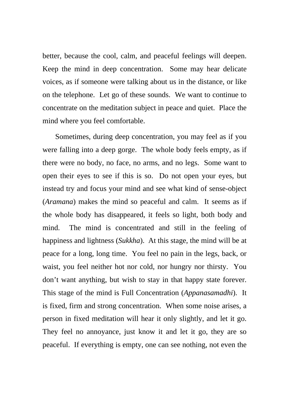better, because the cool, calm, and peaceful feelings will deepen. Keep the mind in deep concentration. Some may hear delicate voices, as if someone were talking about us in the distance, or like on the telephone. Let go of these sounds. We want to continue to concentrate on the meditation subject in peace and quiet. Place the mind where you feel comfortable.

Sometimes, during deep concentration, you may feel as if you were falling into a deep gorge. The whole body feels empty, as if there were no body, no face, no arms, and no legs. Some want to open their eyes to see if this is so. Do not open your eyes, but instead try and focus your mind and see what kind of sense-object (*Aramana*) makes the mind so peaceful and calm. It seems as if the whole body has disappeared, it feels so light, both body and mind. The mind is concentrated and still in the feeling of happiness and lightness (*Sukkha*). At this stage, the mind will be at peace for a long, long time. You feel no pain in the legs, back, or waist, you feel neither hot nor cold, nor hungry nor thirsty. You don't want anything, but wish to stay in that happy state forever. This stage of the mind is Full Concentration (*Appanasamadhi*). It is fixed, firm and strong concentration. When some noise arises, a person in fixed meditation will hear it only slightly, and let it go. They feel no annoyance, just know it and let it go, they are so peaceful. If everything is empty, one can see nothing, not even the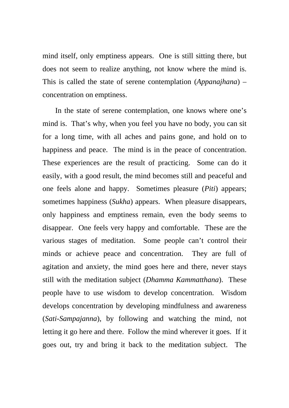mind itself, only emptiness appears. One is still sitting there, but does not seem to realize anything, not know where the mind is. This is called the state of serene contemplation (*Appanajhana*) – concentration on emptiness.

In the state of serene contemplation, one knows where one's mind is. That's why, when you feel you have no body, you can sit for a long time, with all aches and pains gone, and hold on to happiness and peace. The mind is in the peace of concentration. These experiences are the result of practicing. Some can do it easily, with a good result, the mind becomes still and peaceful and one feels alone and happy. Sometimes pleasure (*Piti*) appears; sometimes happiness (*Sukha*) appears. When pleasure disappears, only happiness and emptiness remain, even the body seems to disappear. One feels very happy and comfortable. These are the various stages of meditation. Some people can't control their minds or achieve peace and concentration. They are full of agitation and anxiety, the mind goes here and there, never stays still with the meditation subject (*Dhamma Kammatthana*). These people have to use wisdom to develop concentration. Wisdom develops concentration by developing mindfulness and awareness (*Sati*-*Sampajanna*), by following and watching the mind, not letting it go here and there. Follow the mind wherever it goes. If it goes out, try and bring it back to the meditation subject. The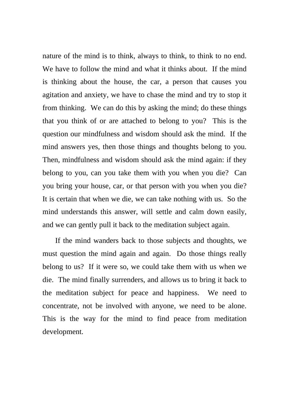nature of the mind is to think, always to think, to think to no end. We have to follow the mind and what it thinks about. If the mind is thinking about the house, the car, a person that causes you agitation and anxiety, we have to chase the mind and try to stop it from thinking. We can do this by asking the mind; do these things that you think of or are attached to belong to you? This is the question our mindfulness and wisdom should ask the mind. If the mind answers yes, then those things and thoughts belong to you. Then, mindfulness and wisdom should ask the mind again: if they belong to you, can you take them with you when you die? Can you bring your house, car, or that person with you when you die? It is certain that when we die, we can take nothing with us. So the mind understands this answer, will settle and calm down easily, and we can gently pull it back to the meditation subject again.

If the mind wanders back to those subjects and thoughts, we must question the mind again and again. Do those things really belong to us? If it were so, we could take them with us when we die. The mind finally surrenders, and allows us to bring it back to the meditation subject for peace and happiness. We need to concentrate, not be involved with anyone, we need to be alone. This is the way for the mind to find peace from meditation development.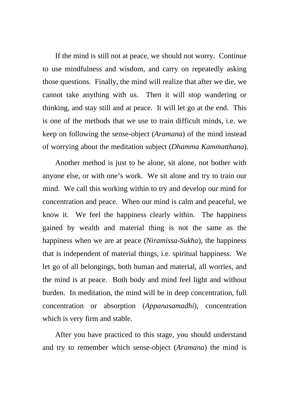If the mind is still not at peace, we should not worry. Continue to use mindfulness and wisdom, and carry on repeatedly asking those questions. Finally, the mind will realize that after we die, we cannot take anything with us. Then it will stop wandering or thinking, and stay still and at peace. It will let go at the end. This is one of the methods that we use to train difficult minds, i.e. we keep on following the sense-object (*Aramana*) of the mind instead of worrying about the meditation subject (*Dhamma Kammatthana*).

Another method is just to be alone, sit alone, not bother with anyone else, or with one's work. We sit alone and try to train our mind. We call this working within to try and develop our mind for concentration and peace. When our mind is calm and peaceful, we know it. We feel the happiness clearly within. The happiness gained by wealth and material thing is not the same as the happiness when we are at peace (*Niramissa*-*Sukha*), the happiness that is independent of material things, i.e. spiritual happiness. We let go of all belongings, both human and material, all worries, and the mind is at peace. Both body and mind feel light and without burden. In meditation, the mind will be in deep concentration, full concentration or absorption (*Appanasamadhi*), concentration which is very firm and stable.

After you have practiced to this stage, you should understand and try to remember which sense-object (*Aramana*) the mind is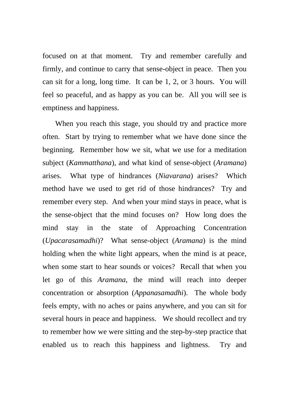focused on at that moment. Try and remember carefully and firmly, and continue to carry that sense-object in peace. Then you can sit for a long, long time. It can be 1, 2, or 3 hours. You will feel so peaceful, and as happy as you can be. All you will see is emptiness and happiness.

When you reach this stage, you should try and practice more often. Start by trying to remember what we have done since the beginning. Remember how we sit, what we use for a meditation subject (*Kammatthana*), and what kind of sense-object (*Aramana*) arises. What type of hindrances (*Niavarana*) arises? Which method have we used to get rid of those hindrances? Try and remember every step. And when your mind stays in peace, what is the sense-object that the mind focuses on? How long does the mind stay in the state of Approaching Concentration (*Upacarasamadhi*)? What sense-object (*Aramana*) is the mind holding when the white light appears, when the mind is at peace, when some start to hear sounds or voices? Recall that when you let go of this *Aramana*, the mind will reach into deeper concentration or absorption (*Appanasamadhi*). The whole body feels empty, with no aches or pains anywhere, and you can sit for several hours in peace and happiness. We should recollect and try to remember how we were sitting and the step-by-step practice that enabled us to reach this happiness and lightness. Try and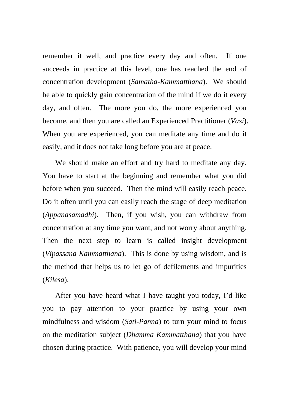remember it well, and practice every day and often. If one succeeds in practice at this level, one has reached the end of concentration development (*Samatha*-*Kammatthana*). We should be able to quickly gain concentration of the mind if we do it every day, and often. The more you do, the more experienced you become, and then you are called an Experienced Practitioner (*Vasi*). When you are experienced, you can meditate any time and do it easily, and it does not take long before you are at peace.

We should make an effort and try hard to meditate any day. You have to start at the beginning and remember what you did before when you succeed. Then the mind will easily reach peace. Do it often until you can easily reach the stage of deep meditation (*Appanasamadhi*). Then, if you wish, you can withdraw from concentration at any time you want, and not worry about anything. Then the next step to learn is called insight development (*Vipassana Kammatthana*). This is done by using wisdom, and is the method that helps us to let go of defilements and impurities (*Kilesa*).

After you have heard what I have taught you today, I'd like you to pay attention to your practice by using your own mindfulness and wisdom (*Sati*-*Panna*) to turn your mind to focus on the meditation subject (*Dhamma Kammatthana*) that you have chosen during practice. With patience, you will develop your mind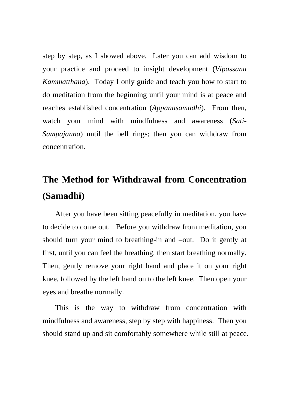step by step, as I showed above. Later you can add wisdom to your practice and proceed to insight development (*Vipassana Kammatthana*). Today I only guide and teach you how to start to do meditation from the beginning until your mind is at peace and reaches established concentration (*Appanasamadhi*). From then, watch your mind with mindfulness and awareness (*Sati*-*Sampajanna*) until the bell rings; then you can withdraw from concentration.

## **The Method for Withdrawal from Concentration (Samadhi)**

After you have been sitting peacefully in meditation, you have to decide to come out. Before you withdraw from meditation, you should turn your mind to breathing-in and –out. Do it gently at first, until you can feel the breathing, then start breathing normally. Then, gently remove your right hand and place it on your right knee, followed by the left hand on to the left knee. Then open your eyes and breathe normally.

This is the way to withdraw from concentration with mindfulness and awareness, step by step with happiness. Then you should stand up and sit comfortably somewhere while still at peace.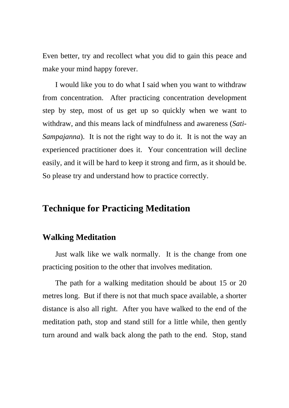Even better, try and recollect what you did to gain this peace and make your mind happy forever.

I would like you to do what I said when you want to withdraw from concentration. After practicing concentration development step by step, most of us get up so quickly when we want to withdraw, and this means lack of mindfulness and awareness (*Sati*-*Sampajanna*). It is not the right way to do it. It is not the way an experienced practitioner does it. Your concentration will decline easily, and it will be hard to keep it strong and firm, as it should be. So please try and understand how to practice correctly.

### **Technique for Practicing Meditation**

### **Walking Meditation**

Just walk like we walk normally. It is the change from one practicing position to the other that involves meditation.

The path for a walking meditation should be about 15 or 20 metres long. But if there is not that much space available, a shorter distance is also all right. After you have walked to the end of the meditation path, stop and stand still for a little while, then gently turn around and walk back along the path to the end. Stop, stand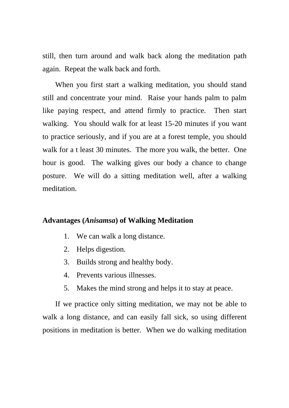still, then turn around and walk back along the meditation path again. Repeat the walk back and forth.

When you first start a walking meditation, you should stand still and concentrate your mind. Raise your hands palm to palm like paying respect, and attend firmly to practice. Then start walking. You should walk for at least 15-20 minutes if you want to practice seriously, and if you are at a forest temple, you should walk for a t least 30 minutes. The more you walk, the better. One hour is good. The walking gives our body a chance to change posture. We will do a sitting meditation well, after a walking meditation.

#### **Advantages (***Anisamsa***) of Walking Meditation**

- 1. We can walk a long distance.
- 2. Helps digestion.
- 3. Builds strong and healthy body.
- 4. Prevents various illnesses.
- 5. Makes the mind strong and helps it to stay at peace.

If we practice only sitting meditation, we may not be able to walk a long distance, and can easily fall sick, so using different positions in meditation is better. When we do walking meditation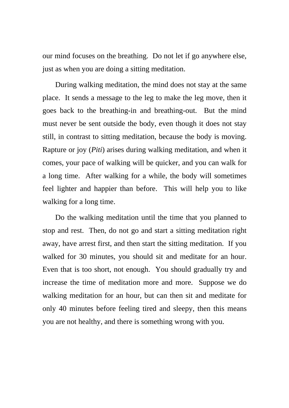our mind focuses on the breathing. Do not let if go anywhere else, just as when you are doing a sitting meditation.

During walking meditation, the mind does not stay at the same place. It sends a message to the leg to make the leg move, then it goes back to the breathing-in and breathing-out. But the mind must never be sent outside the body, even though it does not stay still, in contrast to sitting meditation, because the body is moving. Rapture or joy (*Piti*) arises during walking meditation, and when it comes, your pace of walking will be quicker, and you can walk for a long time. After walking for a while, the body will sometimes feel lighter and happier than before. This will help you to like walking for a long time.

Do the walking meditation until the time that you planned to stop and rest. Then, do not go and start a sitting meditation right away, have arrest first, and then start the sitting meditation. If you walked for 30 minutes, you should sit and meditate for an hour. Even that is too short, not enough. You should gradually try and increase the time of meditation more and more. Suppose we do walking meditation for an hour, but can then sit and meditate for only 40 minutes before feeling tired and sleepy, then this means you are not healthy, and there is something wrong with you.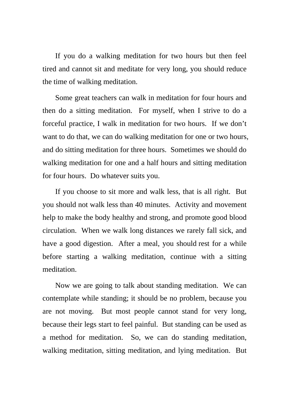If you do a walking meditation for two hours but then feel tired and cannot sit and meditate for very long, you should reduce the time of walking meditation.

Some great teachers can walk in meditation for four hours and then do a sitting meditation. For myself, when I strive to do a forceful practice, I walk in meditation for two hours. If we don't want to do that, we can do walking meditation for one or two hours, and do sitting meditation for three hours. Sometimes we should do walking meditation for one and a half hours and sitting meditation for four hours. Do whatever suits you.

If you choose to sit more and walk less, that is all right. But you should not walk less than 40 minutes. Activity and movement help to make the body healthy and strong, and promote good blood circulation. When we walk long distances we rarely fall sick, and have a good digestion. After a meal, you should rest for a while before starting a walking meditation, continue with a sitting meditation.

Now we are going to talk about standing meditation. We can contemplate while standing; it should be no problem, because you are not moving. But most people cannot stand for very long, because their legs start to feel painful. But standing can be used as a method for meditation. So, we can do standing meditation, walking meditation, sitting meditation, and lying meditation. But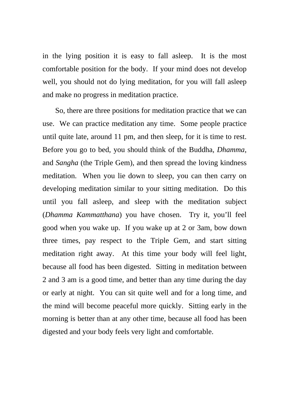in the lying position it is easy to fall asleep. It is the most comfortable position for the body. If your mind does not develop well, you should not do lying meditation, for you will fall asleep and make no progress in meditation practice.

So, there are three positions for meditation practice that we can use. We can practice meditation any time. Some people practice until quite late, around 11 pm, and then sleep, for it is time to rest. Before you go to bed, you should think of the Buddha, *Dhamma*, and *Sangha* (the Triple Gem), and then spread the loving kindness meditation. When you lie down to sleep, you can then carry on developing meditation similar to your sitting meditation. Do this until you fall asleep, and sleep with the meditation subject (*Dhamma Kammatthana*) you have chosen. Try it, you'll feel good when you wake up. If you wake up at 2 or 3am, bow down three times, pay respect to the Triple Gem, and start sitting meditation right away. At this time your body will feel light, because all food has been digested. Sitting in meditation between 2 and 3 am is a good time, and better than any time during the day or early at night. You can sit quite well and for a long time, and the mind will become peaceful more quickly. Sitting early in the morning is better than at any other time, because all food has been digested and your body feels very light and comfortable.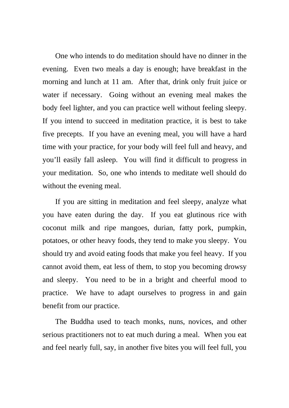One who intends to do meditation should have no dinner in the evening. Even two meals a day is enough; have breakfast in the morning and lunch at 11 am. After that, drink only fruit juice or water if necessary. Going without an evening meal makes the body feel lighter, and you can practice well without feeling sleepy. If you intend to succeed in meditation practice, it is best to take five precepts. If you have an evening meal, you will have a hard time with your practice, for your body will feel full and heavy, and you'll easily fall asleep. You will find it difficult to progress in your meditation. So, one who intends to meditate well should do without the evening meal.

If you are sitting in meditation and feel sleepy, analyze what you have eaten during the day. If you eat glutinous rice with coconut milk and ripe mangoes, durian, fatty pork, pumpkin, potatoes, or other heavy foods, they tend to make you sleepy. You should try and avoid eating foods that make you feel heavy. If you cannot avoid them, eat less of them, to stop you becoming drowsy and sleepy. You need to be in a bright and cheerful mood to practice. We have to adapt ourselves to progress in and gain benefit from our practice.

The Buddha used to teach monks, nuns, novices, and other serious practitioners not to eat much during a meal. When you eat and feel nearly full, say, in another five bites you will feel full, you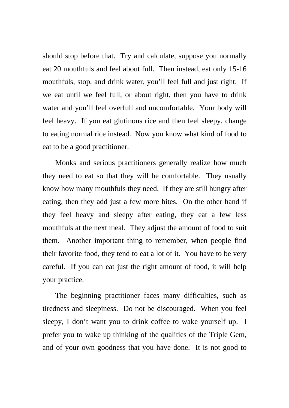should stop before that. Try and calculate, suppose you normally eat 20 mouthfuls and feel about full. Then instead, eat only 15-16 mouthfuls, stop, and drink water, you'll feel full and just right. If we eat until we feel full, or about right, then you have to drink water and you'll feel overfull and uncomfortable. Your body will feel heavy. If you eat glutinous rice and then feel sleepy, change to eating normal rice instead. Now you know what kind of food to eat to be a good practitioner.

Monks and serious practitioners generally realize how much they need to eat so that they will be comfortable. They usually know how many mouthfuls they need. If they are still hungry after eating, then they add just a few more bites. On the other hand if they feel heavy and sleepy after eating, they eat a few less mouthfuls at the next meal. They adjust the amount of food to suit them. Another important thing to remember, when people find their favorite food, they tend to eat a lot of it. You have to be very careful. If you can eat just the right amount of food, it will help your practice.

The beginning practitioner faces many difficulties, such as tiredness and sleepiness. Do not be discouraged. When you feel sleepy, I don't want you to drink coffee to wake yourself up. I prefer you to wake up thinking of the qualities of the Triple Gem, and of your own goodness that you have done. It is not good to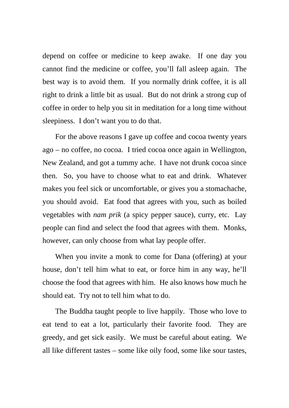depend on coffee or medicine to keep awake. If one day you cannot find the medicine or coffee, you'll fall asleep again. The best way is to avoid them. If you normally drink coffee, it is all right to drink a little bit as usual. But do not drink a strong cup of coffee in order to help you sit in meditation for a long time without sleepiness. I don't want you to do that.

For the above reasons I gave up coffee and cocoa twenty years ago – no coffee, no cocoa. I tried cocoa once again in Wellington, New Zealand, and got a tummy ache. I have not drunk cocoa since then. So, you have to choose what to eat and drink. Whatever makes you feel sick or uncomfortable, or gives you a stomachache, you should avoid. Eat food that agrees with you, such as boiled vegetables with *nam prik* (a spicy pepper sauce), curry, etc. Lay people can find and select the food that agrees with them. Monks, however, can only choose from what lay people offer.

When you invite a monk to come for Dana (offering) at your house, don't tell him what to eat, or force him in any way, he'll choose the food that agrees with him. He also knows how much he should eat. Try not to tell him what to do.

The Buddha taught people to live happily. Those who love to eat tend to eat a lot, particularly their favorite food. They are greedy, and get sick easily. We must be careful about eating. We all like different tastes – some like oily food, some like sour tastes,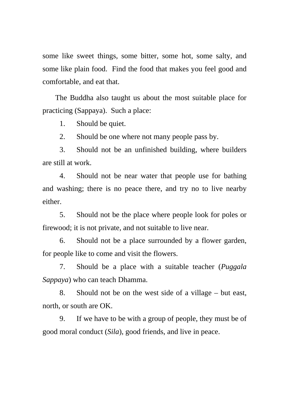some like sweet things, some bitter, some hot, some salty, and some like plain food. Find the food that makes you feel good and comfortable, and eat that.

The Buddha also taught us about the most suitable place for practicing (Sappaya). Such a place:

1. Should be quiet.

2. Should be one where not many people pass by.

3. Should not be an unfinished building, where builders are still at work.

4. Should not be near water that people use for bathing and washing; there is no peace there, and try no to live nearby either.

5. Should not be the place where people look for poles or firewood; it is not private, and not suitable to live near.

6. Should not be a place surrounded by a flower garden, for people like to come and visit the flowers.

7. Should be a place with a suitable teacher (*Puggala Sappaya*) who can teach Dhamma.

8. Should not be on the west side of a village – but east, north, or south are OK.

9. If we have to be with a group of people, they must be of good moral conduct (*Sila*), good friends, and live in peace.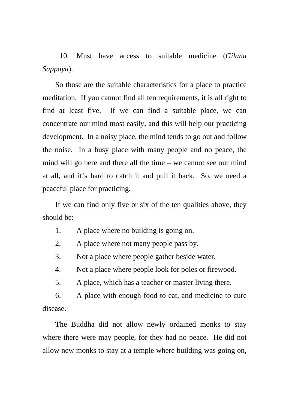10. Must have access to suitable medicine (*Gilana Sappaya*).

So those are the suitable characteristics for a place to practice meditation. If you cannot find all ten requirements, it is all right to find at least five. If we can find a suitable place, we can concentrate our mind most easily, and this will help our practicing development. In a noisy place, the mind tends to go out and follow the noise. In a busy place with many people and no peace, the mind will go here and there all the time – we cannot see our mind at all, and it's hard to catch it and pull it back. So, we need a peaceful place for practicing.

If we can find only five or six of the ten qualities above, they should be:

- 1. A place where no building is going on.
- 2. A place where not many people pass by.
- 3. Not a place where people gather beside water.
- 4. Not a place where people look for poles or firewood.
- 5. A place, which has a teacher or master living there.

6. A place with enough food to eat, and medicine to cure disease.

The Buddha did not allow newly ordained monks to stay where there were may people, for they had no peace. He did not allow new monks to stay at a temple where building was going on,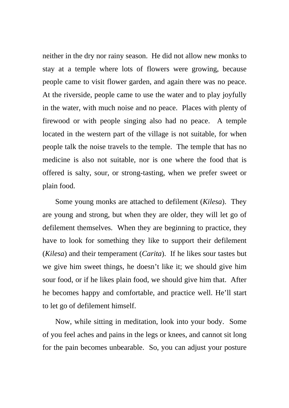neither in the dry nor rainy season. He did not allow new monks to stay at a temple where lots of flowers were growing, because people came to visit flower garden, and again there was no peace. At the riverside, people came to use the water and to play joyfully in the water, with much noise and no peace. Places with plenty of firewood or with people singing also had no peace. A temple located in the western part of the village is not suitable, for when people talk the noise travels to the temple. The temple that has no medicine is also not suitable, nor is one where the food that is offered is salty, sour, or strong-tasting, when we prefer sweet or plain food.

Some young monks are attached to defilement (*Kilesa*). They are young and strong, but when they are older, they will let go of defilement themselves. When they are beginning to practice, they have to look for something they like to support their defilement (*Kilesa*) and their temperament (*Carita*). If he likes sour tastes but we give him sweet things, he doesn't like it; we should give him sour food, or if he likes plain food, we should give him that. After he becomes happy and comfortable, and practice well. He'll start to let go of defilement himself.

Now, while sitting in meditation, look into your body. Some of you feel aches and pains in the legs or knees, and cannot sit long for the pain becomes unbearable. So, you can adjust your posture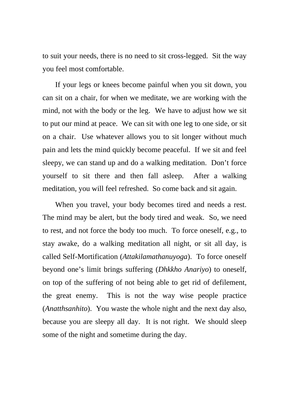to suit your needs, there is no need to sit cross-legged. Sit the way you feel most comfortable.

If your legs or knees become painful when you sit down, you can sit on a chair, for when we meditate, we are working with the mind, not with the body or the leg. We have to adjust how we sit to put our mind at peace. We can sit with one leg to one side, or sit on a chair. Use whatever allows you to sit longer without much pain and lets the mind quickly become peaceful. If we sit and feel sleepy, we can stand up and do a walking meditation. Don't force yourself to sit there and then fall asleep. After a walking meditation, you will feel refreshed. So come back and sit again.

When you travel, your body becomes tired and needs a rest. The mind may be alert, but the body tired and weak. So, we need to rest, and not force the body too much. To force oneself, e.g., to stay awake, do a walking meditation all night, or sit all day, is called Self-Mortification (*Attakilamathanuyoga*). To force oneself beyond one's limit brings suffering (*Dhkkho Anariyo*) to oneself, on top of the suffering of not being able to get rid of defilement, the great enemy. This is not the way wise people practice (*Anatthsanhito*). You waste the whole night and the next day also, because you are sleepy all day. It is not right. We should sleep some of the night and sometime during the day.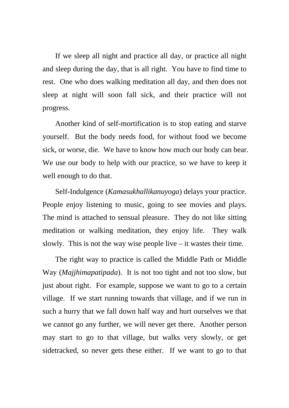If we sleep all night and practice all day, or practice all night and sleep during the day, that is all right. You have to find time to rest. One who does walking meditation all day, and then does not sleep at night will soon fall sick, and their practice will not progress.

Another kind of self-mortification is to stop eating and starve yourself. But the body needs food, for without food we become sick, or worse, die. We have to know how much our body can bear. We use our body to help with our practice, so we have to keep it well enough to do that.

Self-Indulgence (*Kamasukhallikanuyoga*) delays your practice. People enjoy listening to music, going to see movies and plays. The mind is attached to sensual pleasure. They do not like sitting meditation or walking meditation, they enjoy life. They walk slowly. This is not the way wise people live  $-$  it wastes their time.

The right way to practice is called the Middle Path or Middle Way (*Majjhimapatipada*). It is not too tight and not too slow, but just about right. For example, suppose we want to go to a certain village. If we start running towards that village, and if we run in such a hurry that we fall down half way and hurt ourselves we that we cannot go any further, we will never get there. Another person may start to go to that village, but walks very slowly, or get sidetracked, so never gets these either. If we want to go to that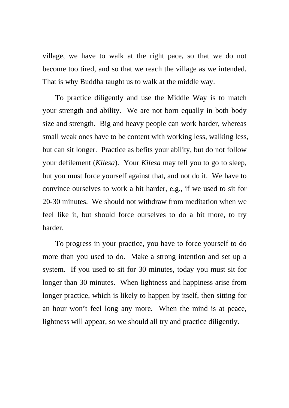village, we have to walk at the right pace, so that we do not become too tired, and so that we reach the village as we intended. That is why Buddha taught us to walk at the middle way.

To practice diligently and use the Middle Way is to match your strength and ability. We are not born equally in both body size and strength. Big and heavy people can work harder, whereas small weak ones have to be content with working less, walking less, but can sit longer. Practice as befits your ability, but do not follow your defilement (*Kilesa*). Your *Kilesa* may tell you to go to sleep, but you must force yourself against that, and not do it. We have to convince ourselves to work a bit harder, e.g., if we used to sit for 20-30 minutes. We should not withdraw from meditation when we feel like it, but should force ourselves to do a bit more, to try harder.

To progress in your practice, you have to force yourself to do more than you used to do. Make a strong intention and set up a system. If you used to sit for 30 minutes, today you must sit for longer than 30 minutes. When lightness and happiness arise from longer practice, which is likely to happen by itself, then sitting for an hour won't feel long any more. When the mind is at peace, lightness will appear, so we should all try and practice diligently.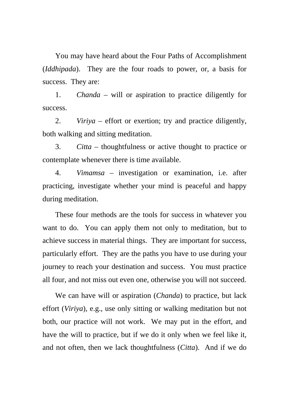You may have heard about the Four Paths of Accomplishment (*Iddhipada*). They are the four roads to power, or, a basis for success. They are:

1. *Chanda* – will or aspiration to practice diligently for success.

2. *Viriya* – effort or exertion; try and practice diligently, both walking and sitting meditation.

3. *Citta* – thoughtfulness or active thought to practice or contemplate whenever there is time available.

4. *Vimamsa* – investigation or examination, i.e. after practicing, investigate whether your mind is peaceful and happy during meditation.

These four methods are the tools for success in whatever you want to do. You can apply them not only to meditation, but to achieve success in material things. They are important for success, particularly effort. They are the paths you have to use during your journey to reach your destination and success. You must practice all four, and not miss out even one, otherwise you will not succeed.

We can have will or aspiration (*Chanda*) to practice, but lack effort (*Viriya*), e.g., use only sitting or walking meditation but not both, our practice will not work. We may put in the effort, and have the will to practice, but if we do it only when we feel like it, and not often, then we lack thoughtfulness (*Citta*). And if we do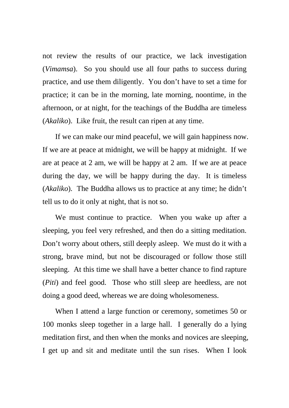not review the results of our practice, we lack investigation (*Vimamsa*). So you should use all four paths to success during practice, and use them diligently. You don't have to set a time for practice; it can be in the morning, late morning, noontime, in the afternoon, or at night, for the teachings of the Buddha are timeless (*Akaliko*). Like fruit, the result can ripen at any time.

If we can make our mind peaceful, we will gain happiness now. If we are at peace at midnight, we will be happy at midnight. If we are at peace at 2 am, we will be happy at 2 am. If we are at peace during the day, we will be happy during the day. It is timeless (*Akaliko*). The Buddha allows us to practice at any time; he didn't tell us to do it only at night, that is not so.

We must continue to practice. When you wake up after a sleeping, you feel very refreshed, and then do a sitting meditation. Don't worry about others, still deeply asleep. We must do it with a strong, brave mind, but not be discouraged or follow those still sleeping. At this time we shall have a better chance to find rapture (*Piti*) and feel good. Those who still sleep are heedless, are not doing a good deed, whereas we are doing wholesomeness.

When I attend a large function or ceremony, sometimes 50 or 100 monks sleep together in a large hall. I generally do a lying meditation first, and then when the monks and novices are sleeping, I get up and sit and meditate until the sun rises. When I look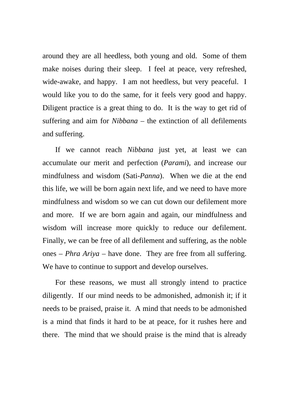around they are all heedless, both young and old. Some of them make noises during their sleep. I feel at peace, very refreshed, wide-awake, and happy. I am not heedless, but very peaceful. I would like you to do the same, for it feels very good and happy. Diligent practice is a great thing to do. It is the way to get rid of suffering and aim for *Nibbana* – the extinction of all defilements and suffering.

If we cannot reach *Nibbana* just yet, at least we can accumulate our merit and perfection (*Parami*), and increase our mindfulness and wisdom (Sati-*Panna*). When we die at the end this life, we will be born again next life, and we need to have more mindfulness and wisdom so we can cut down our defilement more and more. If we are born again and again, our mindfulness and wisdom will increase more quickly to reduce our defilement. Finally, we can be free of all defilement and suffering, as the noble ones – *Phra Ariya* – have done. They are free from all suffering. We have to continue to support and develop ourselves.

For these reasons, we must all strongly intend to practice diligently. If our mind needs to be admonished, admonish it; if it needs to be praised, praise it. A mind that needs to be admonished is a mind that finds it hard to be at peace, for it rushes here and there. The mind that we should praise is the mind that is already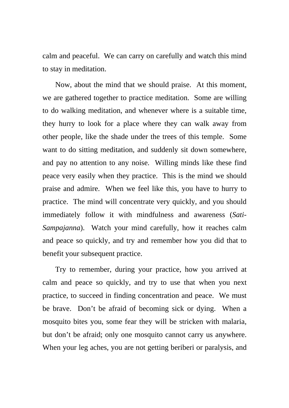calm and peaceful. We can carry on carefully and watch this mind to stay in meditation.

Now, about the mind that we should praise. At this moment, we are gathered together to practice meditation. Some are willing to do walking meditation, and whenever where is a suitable time, they hurry to look for a place where they can walk away from other people, like the shade under the trees of this temple. Some want to do sitting meditation, and suddenly sit down somewhere, and pay no attention to any noise. Willing minds like these find peace very easily when they practice. This is the mind we should praise and admire. When we feel like this, you have to hurry to practice. The mind will concentrate very quickly, and you should immediately follow it with mindfulness and awareness (*Sati*-*Sampajanna*). Watch your mind carefully, how it reaches calm and peace so quickly, and try and remember how you did that to benefit your subsequent practice.

Try to remember, during your practice, how you arrived at calm and peace so quickly, and try to use that when you next practice, to succeed in finding concentration and peace. We must be brave. Don't be afraid of becoming sick or dying. When a mosquito bites you, some fear they will be stricken with malaria, but don't be afraid; only one mosquito cannot carry us anywhere. When your leg aches, you are not getting beriberi or paralysis, and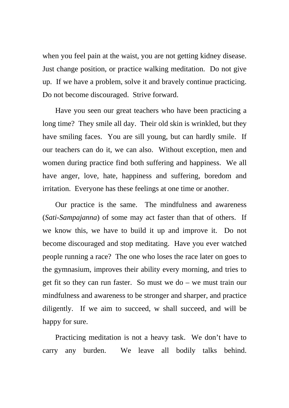when you feel pain at the waist, you are not getting kidney disease. Just change position, or practice walking meditation. Do not give up. If we have a problem, solve it and bravely continue practicing. Do not become discouraged. Strive forward.

Have you seen our great teachers who have been practicing a long time? They smile all day. Their old skin is wrinkled, but they have smiling faces. You are sill young, but can hardly smile. If our teachers can do it, we can also. Without exception, men and women during practice find both suffering and happiness. We all have anger, love, hate, happiness and suffering, boredom and irritation. Everyone has these feelings at one time or another.

Our practice is the same. The mindfulness and awareness (*Sati*-*Sampajanna*) of some may act faster than that of others. If we know this, we have to build it up and improve it. Do not become discouraged and stop meditating. Have you ever watched people running a race? The one who loses the race later on goes to the gymnasium, improves their ability every morning, and tries to get fit so they can run faster. So must we do – we must train our mindfulness and awareness to be stronger and sharper, and practice diligently. If we aim to succeed, w shall succeed, and will be happy for sure.

Practicing meditation is not a heavy task. We don't have to carry any burden. We leave all bodily talks behind.